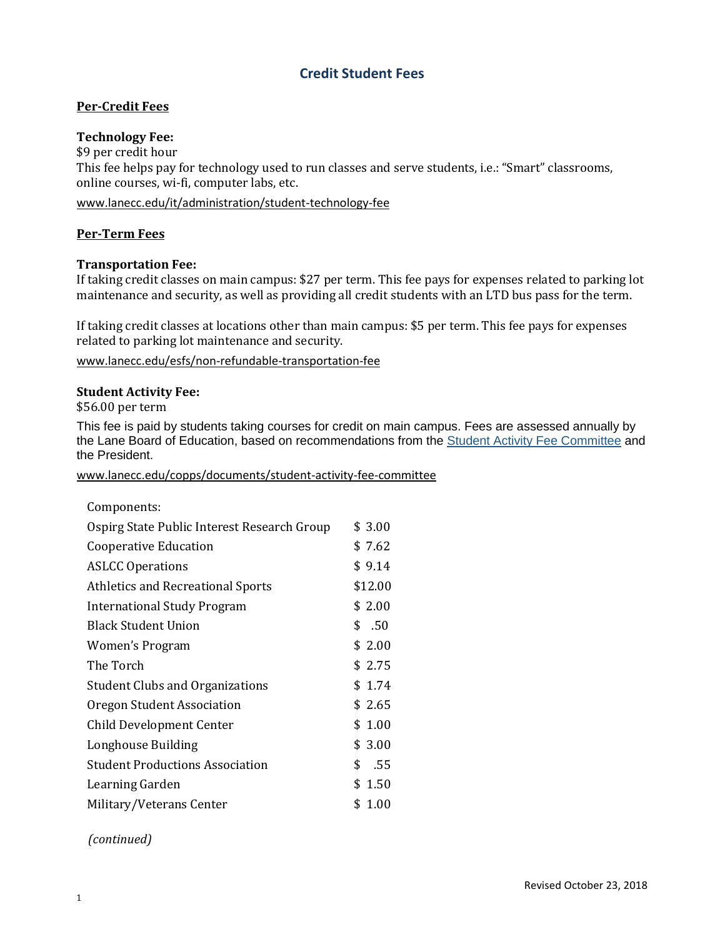# **Credit Student Fees**

# **Per-Credit Fees**

## **Technology Fee:**

\$9 per credit hour This fee helps pay for technology used to run classes and serve students, i.e.: "Smart" classrooms, online courses, wi-fi, computer labs, etc.

[www.lanecc.edu/it/administration/student-technology-fee](http://www.lanecc.edu/it/administration/student-technology-fee)

## **Per-Term Fees**

## **Transportation Fee:**

If taking credit classes on main campus: \$27 per term. This fee pays for expenses related to parking lot maintenance and security, as well as providing all credit students with an LTD bus pass for the term.

If taking credit classes at locations other than main campus: \$5 per term. This fee pays for expenses related to parking lot maintenance and security.

[www.lanecc.edu/esfs/non-refundable-transportation-fee](http://www.lanecc.edu/esfs/non-refundable-transportation-fee)

#### **Student Activity Fee:**

\$56.00 per term

This fee is paid by students taking courses for credit on main campus. Fees are assessed annually by the Lane Board of Education, based on recommendations from the **Student Activity Fee [Committee](https://www.lanecc.edu/copps/documents/student-activity-fee-committee)** and the President.

www.lanecc.edu/copps/documents/student-activity-fee-committee

| Components:                                 |            |
|---------------------------------------------|------------|
| Ospirg State Public Interest Research Group | \$ 3.00    |
| Cooperative Education                       | \$ 7.62    |
| <b>ASLCC Operations</b>                     | \$9.14     |
| <b>Athletics and Recreational Sports</b>    | \$12.00    |
| <b>International Study Program</b>          | \$2.00     |
| <b>Black Student Union</b>                  | \$.50      |
| Women's Program                             | \$2.00     |
| The Torch                                   | \$2.75     |
| <b>Student Clubs and Organizations</b>      | \$1.74     |
| Oregon Student Association                  | \$2.65     |
| <b>Child Development Center</b>             | \$1.00     |
| Longhouse Building                          | \$3.00     |
| <b>Student Productions Association</b>      | \$<br>.55  |
| Learning Garden                             | \$<br>1.50 |
| Military/Veterans Center                    | 1.00<br>\$ |

# *(continued)*